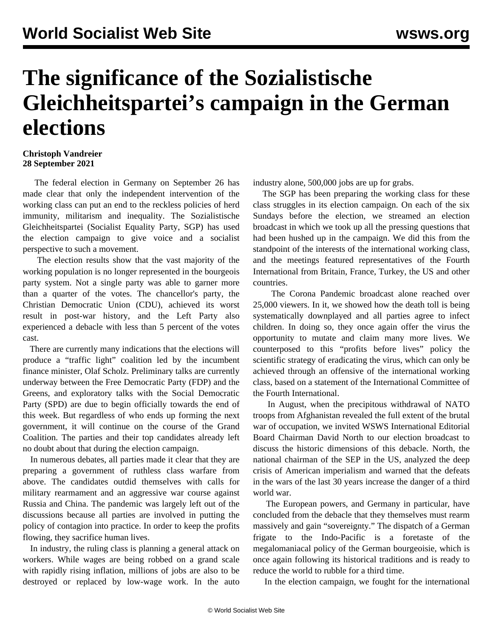## **The significance of the Sozialistische Gleichheitspartei's campaign in the German elections**

## **Christoph Vandreier 28 September 2021**

 The federal election in Germany on September 26 has made clear that only the independent intervention of the working class can put an end to the reckless policies of herd immunity, militarism and inequality. The Sozialistische Gleichheitspartei (Socialist Equality Party, SGP) has used the election campaign to give voice and a socialist perspective to such a movement.

 The [election results](/en/articles/2021/09/27/germ-s27.html) show that the vast majority of the working population is no longer represented in the bourgeois party system. Not a single party was able to garner more than a quarter of the votes. The chancellor's party, the Christian Democratic Union (CDU), achieved its worst result in post-war history, and the Left Party also experienced a debacle with less than 5 percent of the votes cast.

 There are currently many indications that the elections will produce a "traffic light" coalition led by the incumbent finance minister, Olaf Scholz. Preliminary talks are currently underway between the Free Democratic Party (FDP) and the Greens, and exploratory talks with the Social Democratic Party (SPD) are due to begin officially towards the end of this week. But regardless of who ends up forming the next government, it will continue on the course of the Grand Coalition. The parties and their top candidates already left no doubt about that during the election campaign.

 In numerous debates, all parties made it clear that they are preparing a government of ruthless class warfare from above. The candidates outdid themselves with calls for military rearmament and an aggressive war course against Russia and China. The pandemic was largely left out of the discussions because all parties are involved in putting the policy of contagion into practice. In order to keep the profits flowing, they sacrifice human lives.

 In industry, the ruling class is planning a general attack on workers. While wages are being robbed on a grand scale with rapidly rising inflation, millions of jobs are also to be destroyed or replaced by low-wage work. In the auto industry alone, 500,000 jobs are up for grabs.

 The SGP has been preparing the working class for these class struggles in its election campaign. On each of the six Sundays before the election, we streamed an election broadcast in which we took up all the pressing questions that had been hushed up in the campaign. We did this from the standpoint of the interests of the international working class, and the meetings featured representatives of the Fourth International from Britain, France, Turkey, the US and other countries.

 The [Corona Pandemic broadcast](https://www.youtube.com/watch?v=5Vy8KJ6Ams0&t=1s) alone reached over 25,000 viewers. In it, we showed how the death toll is being systematically downplayed and all parties agree to infect children. In doing so, they once again offer the virus the opportunity to mutate and claim many more lives. We counterposed to this "profits before lives" policy the scientific strategy of eradicating the virus, which can only be achieved through an offensive of the international working class, based on a [statement](/en/articles/2021/08/21/pers-a21.html) of the International Committee of the Fourth International.

 In August, when the precipitous withdrawal of NATO troops from Afghanistan revealed the full extent of the brutal war of occupation, we invited WSWS International Editorial Board Chairman David North to [our election broadcast](https://www.youtube.com/watch?v=McLYvpY9ii0&t=20s) to discuss the historic dimensions of this debacle. North, the national chairman of the SEP in the US, analyzed the deep crisis of American imperialism and warned that the defeats in the wars of the last 30 years increase the danger of a third world war.

 The European powers, and Germany in particular, have concluded from the debacle that they themselves must rearm massively and gain "sovereignty." The [dispatch of a German](/en/articles/2021/08/07/pers-a07.html) [frigate](/en/articles/2021/08/07/pers-a07.html) to the Indo-Pacific is a foretaste of the megalomaniacal policy of the German bourgeoisie, which is once again following its historical traditions and is ready to reduce the world to rubble for a third time.

In the election campaign, we fought for the international